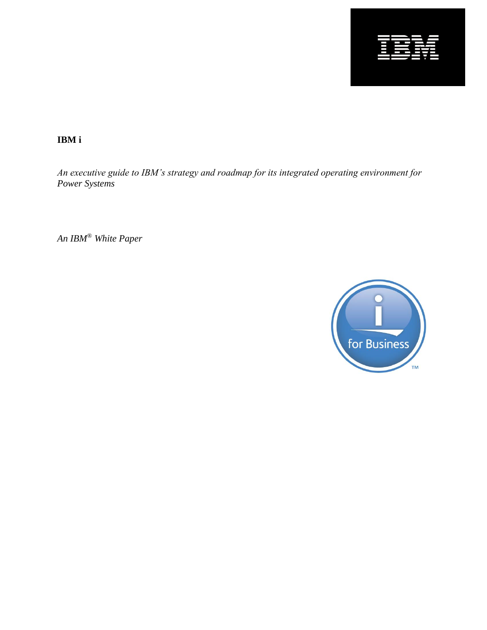

**IBM i** 

*An executive guide to IBM's strategy and roadmap for its integrated operating environment for Power Systems*

*An IBM*® *White Paper*

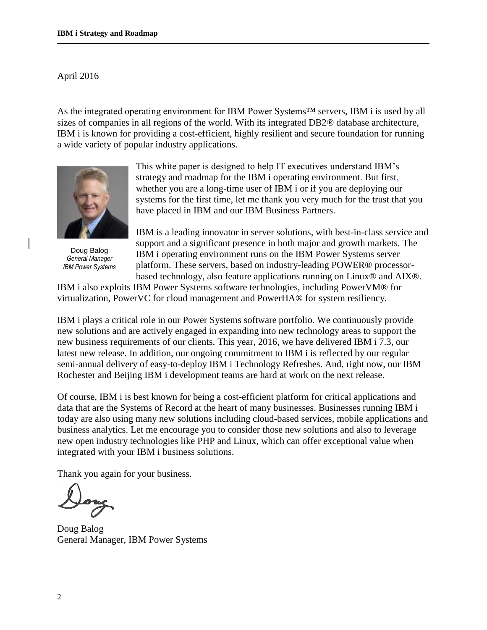#### April 2016

As the integrated operating environment for IBM Power Systems™ servers, IBM i is used by all sizes of companies in all regions of the world. With its integrated DB2® database architecture, IBM i is known for providing a cost-efficient, highly resilient and secure foundation for running a wide variety of popular industry applications.



Doug Balog *General Manager IBM Power Systems*

This white paper is designed to help IT executives understand IBM's strategy and roadmap for the IBM i operating environment. But first, whether you are a long-time user of IBM i or if you are deploying our systems for the first time, let me thank you very much for the trust that you have placed in IBM and our IBM Business Partners.

IBM is a leading innovator in server solutions, with best-in-class service and support and a significant presence in both major and growth markets. The IBM i operating environment runs on the IBM Power Systems server platform. These servers, based on industry-leading POWER® processorbased technology, also feature applications running on Linux® and AIX®.

IBM i also exploits IBM Power Systems software technologies, including PowerVM® for virtualization, PowerVC for cloud management and PowerHA® for system resiliency.

IBM i plays a critical role in our Power Systems software portfolio. We continuously provide new solutions and are actively engaged in expanding into new technology areas to support the new business requirements of our clients. This year, 2016, we have delivered IBM i 7.3, our latest new release. In addition, our ongoing commitment to IBM i is reflected by our regular semi-annual delivery of easy-to-deploy IBM i Technology Refreshes. And, right now, our IBM Rochester and Beijing IBM i development teams are hard at work on the next release.

Of course, IBM i is best known for being a cost-efficient platform for critical applications and data that are the Systems of Record at the heart of many businesses. Businesses running IBM i today are also using many new solutions including cloud-based services, mobile applications and business analytics. Let me encourage you to consider those new solutions and also to leverage new open industry technologies like PHP and Linux, which can offer exceptional value when integrated with your IBM i business solutions.

Thank you again for your business.

Doug Balog General Manager, IBM Power Systems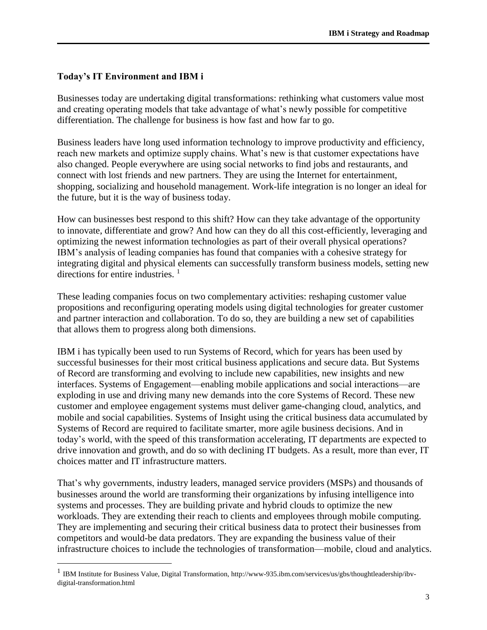## **Today's IT Environment and IBM i**

 $\overline{a}$ 

Businesses today are undertaking digital transformations: rethinking what customers value most and creating operating models that take advantage of what's newly possible for competitive differentiation. The challenge for business is how fast and how far to go.

Business leaders have long used information technology to improve productivity and efficiency, reach new markets and optimize supply chains. What's new is that customer expectations have also changed. People everywhere are using social networks to find jobs and restaurants, and connect with lost friends and new partners. They are using the Internet for entertainment, shopping, socializing and household management. Work-life integration is no longer an ideal for the future, but it is the way of business today.

How can businesses best respond to this shift? How can they take advantage of the opportunity to innovate, differentiate and grow? And how can they do all this cost-efficiently, leveraging and optimizing the newest information technologies as part of their overall physical operations? IBM's analysis of leading companies has found that companies with a cohesive strategy for integrating digital and physical elements can successfully transform business models, setting new directions for entire industries.<sup>1</sup>

These leading companies focus on two complementary activities: reshaping customer value propositions and reconfiguring operating models using digital technologies for greater customer and partner interaction and collaboration. To do so, they are building a new set of capabilities that allows them to progress along both dimensions.

IBM i has typically been used to run Systems of Record, which for years has been used by successful businesses for their most critical business applications and secure data. But Systems of Record are transforming and evolving to include new capabilities, new insights and new interfaces. Systems of Engagement—enabling mobile applications and social interactions—are exploding in use and driving many new demands into the core Systems of Record. These new customer and employee engagement systems must deliver game-changing cloud, analytics, and mobile and social capabilities. Systems of Insight using the critical business data accumulated by Systems of Record are required to facilitate smarter, more agile business decisions. And in today's world, with the speed of this transformation accelerating, IT departments are expected to drive innovation and growth, and do so with declining IT budgets. As a result, more than ever, IT choices matter and IT infrastructure matters.

That's why governments, industry leaders, managed service providers (MSPs) and thousands of businesses around the world are transforming their organizations by infusing intelligence into systems and processes. They are building private and hybrid clouds to optimize the new workloads. They are extending their reach to clients and employees through mobile computing. They are implementing and securing their critical business data to protect their businesses from competitors and would-be data predators. They are expanding the business value of their infrastructure choices to include the technologies of transformation—mobile, cloud and analytics.

<sup>&</sup>lt;sup>1</sup> IBM Institute for Business Value, Digital Transformation, http://www-935.ibm.com/services/us/gbs/thoughtleadership/ibvdigital-transformation.html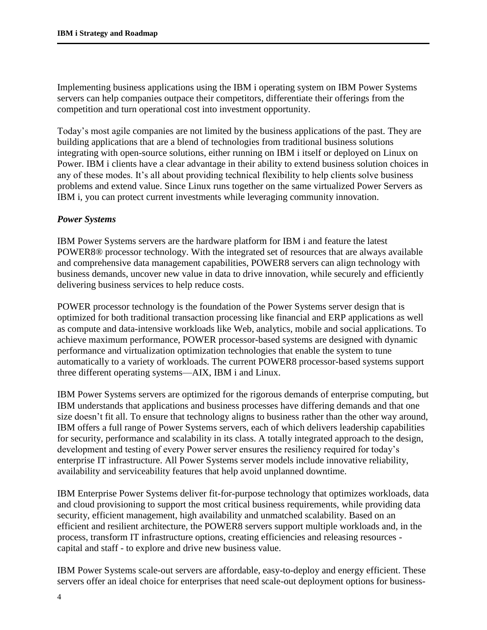Implementing business applications using the IBM i operating system on IBM Power Systems servers can help companies outpace their competitors, differentiate their offerings from the competition and turn operational cost into investment opportunity.

Today's most agile companies are not limited by the business applications of the past. They are building applications that are a blend of technologies from traditional business solutions integrating with open-source solutions, either running on IBM i itself or deployed on Linux on Power. IBM i clients have a clear advantage in their ability to extend business solution choices in any of these modes. It's all about providing technical flexibility to help clients solve business problems and extend value. Since Linux runs together on the same virtualized Power Servers as IBM i, you can protect current investments while leveraging community innovation.

#### *Power Systems*

IBM Power Systems servers are the hardware platform for IBM i and feature the latest POWER8® processor technology. With the integrated set of resources that are always available and comprehensive data management capabilities, POWER8 servers can align technology with business demands, uncover new value in data to drive innovation, while securely and efficiently delivering business services to help reduce costs.

POWER processor technology is the foundation of the Power Systems server design that is optimized for both traditional transaction processing like financial and ERP applications as well as compute and data-intensive workloads like Web, analytics, mobile and social applications. To achieve maximum performance, POWER processor-based systems are designed with dynamic performance and virtualization optimization technologies that enable the system to tune automatically to a variety of workloads. The current POWER8 processor-based systems support three different operating systems—AIX, IBM i and Linux.

IBM Power Systems servers are optimized for the rigorous demands of enterprise computing, but IBM understands that applications and business processes have differing demands and that one size doesn't fit all. To ensure that technology aligns to business rather than the other way around, IBM offers a full range of Power Systems servers, each of which delivers leadership capabilities for security, performance and scalability in its class. A totally integrated approach to the design, development and testing of every Power server ensures the resiliency required for today's enterprise IT infrastructure. All Power Systems server models include innovative reliability, availability and serviceability features that help avoid unplanned downtime.

IBM Enterprise Power Systems deliver fit-for-purpose technology that optimizes workloads, data and cloud provisioning to support the most critical business requirements, while providing data security, efficient management, high availability and unmatched scalability. Based on an efficient and resilient architecture, the POWER8 servers support multiple workloads and, in the process, transform IT infrastructure options, creating efficiencies and releasing resources capital and staff - to explore and drive new business value.

IBM Power Systems scale-out servers are affordable, easy-to-deploy and energy efficient. These servers offer an ideal choice for enterprises that need scale-out deployment options for business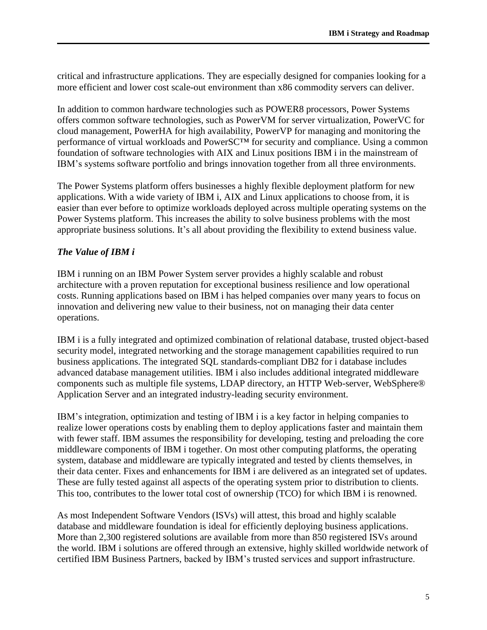critical and infrastructure applications. They are especially designed for companies looking for a more efficient and lower cost scale-out environment than x86 commodity servers can deliver.

In addition to common hardware technologies such as POWER8 processors, Power Systems offers common software technologies, such as PowerVM for server virtualization, PowerVC for cloud management, PowerHA for high availability, PowerVP for managing and monitoring the performance of virtual workloads and PowerSC™ for security and compliance. Using a common foundation of software technologies with AIX and Linux positions IBM i in the mainstream of IBM's systems software portfolio and brings innovation together from all three environments.

The Power Systems platform offers businesses a highly flexible deployment platform for new applications. With a wide variety of IBM i, AIX and Linux applications to choose from, it is easier than ever before to optimize workloads deployed across multiple operating systems on the Power Systems platform. This increases the ability to solve business problems with the most appropriate business solutions. It's all about providing the flexibility to extend business value.

### *The Value of IBM i*

IBM i running on an IBM Power System server provides a highly scalable and robust architecture with a proven reputation for exceptional business resilience and low operational costs. Running applications based on IBM i has helped companies over many years to focus on innovation and delivering new value to their business, not on managing their data center operations.

IBM i is a fully integrated and optimized combination of relational database, trusted object-based security model, integrated networking and the storage management capabilities required to run business applications. The integrated SQL standards-compliant DB2 for i database includes advanced database management utilities. IBM i also includes additional integrated middleware components such as multiple file systems, LDAP directory, an HTTP Web-server, WebSphere® Application Server and an integrated industry-leading security environment.

IBM's integration, optimization and testing of IBM i is a key factor in helping companies to realize lower operations costs by enabling them to deploy applications faster and maintain them with fewer staff. IBM assumes the responsibility for developing, testing and preloading the core middleware components of IBM i together. On most other computing platforms, the operating system, database and middleware are typically integrated and tested by clients themselves, in their data center. Fixes and enhancements for IBM i are delivered as an integrated set of updates. These are fully tested against all aspects of the operating system prior to distribution to clients. This too, contributes to the lower total cost of ownership (TCO) for which IBM i is renowned.

As most Independent Software Vendors (ISVs) will attest, this broad and highly scalable database and middleware foundation is ideal for efficiently deploying business applications. More than 2,300 registered solutions are available from more than 850 registered ISVs around the world. IBM i solutions are offered through an extensive, highly skilled worldwide network of certified IBM Business Partners, backed by IBM's trusted services and support infrastructure.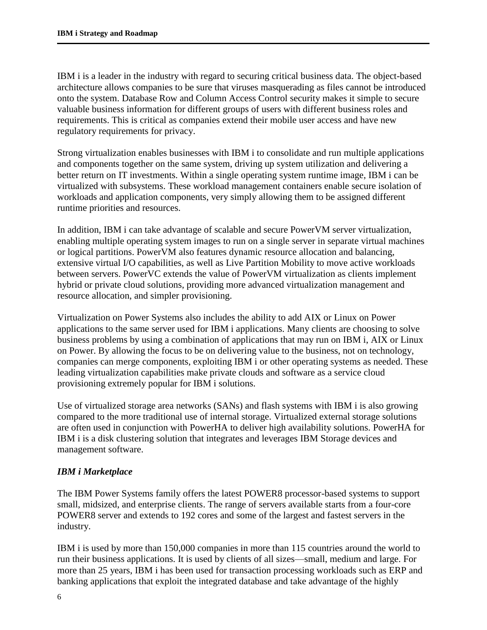IBM i is a leader in the industry with regard to securing critical business data. The object-based architecture allows companies to be sure that viruses masquerading as files cannot be introduced onto the system. Database Row and Column Access Control security makes it simple to secure valuable business information for different groups of users with different business roles and requirements. This is critical as companies extend their mobile user access and have new regulatory requirements for privacy.

Strong virtualization enables businesses with IBM i to consolidate and run multiple applications and components together on the same system, driving up system utilization and delivering a better return on IT investments. Within a single operating system runtime image, IBM i can be virtualized with subsystems. These workload management containers enable secure isolation of workloads and application components, very simply allowing them to be assigned different runtime priorities and resources.

In addition, IBM i can take advantage of scalable and secure PowerVM server virtualization, enabling multiple operating system images to run on a single server in separate virtual machines or logical partitions. PowerVM also features dynamic resource allocation and balancing, extensive virtual I/O capabilities, as well as Live Partition Mobility to move active workloads between servers. PowerVC extends the value of PowerVM virtualization as clients implement hybrid or private cloud solutions, providing more advanced virtualization management and resource allocation, and simpler provisioning.

Virtualization on Power Systems also includes the ability to add AIX or Linux on Power applications to the same server used for IBM i applications. Many clients are choosing to solve business problems by using a combination of applications that may run on IBM i, AIX or Linux on Power. By allowing the focus to be on delivering value to the business, not on technology, companies can merge components, exploiting IBM i or other operating systems as needed. These leading virtualization capabilities make private clouds and software as a service cloud provisioning extremely popular for IBM i solutions.

Use of virtualized storage area networks (SANs) and flash systems with IBM i is also growing compared to the more traditional use of internal storage. Virtualized external storage solutions are often used in conjunction with PowerHA to deliver high availability solutions. PowerHA for IBM i is a disk clustering solution that integrates and leverages IBM Storage devices and management software.

### *IBM i Marketplace*

The IBM Power Systems family offers the latest POWER8 processor-based systems to support small, midsized, and enterprise clients. The range of servers available starts from a four-core POWER8 server and extends to 192 cores and some of the largest and fastest servers in the industry.

IBM i is used by more than 150,000 companies in more than 115 countries around the world to run their business applications. It is used by clients of all sizes—small, medium and large. For more than 25 years, IBM i has been used for transaction processing workloads such as ERP and banking applications that exploit the integrated database and take advantage of the highly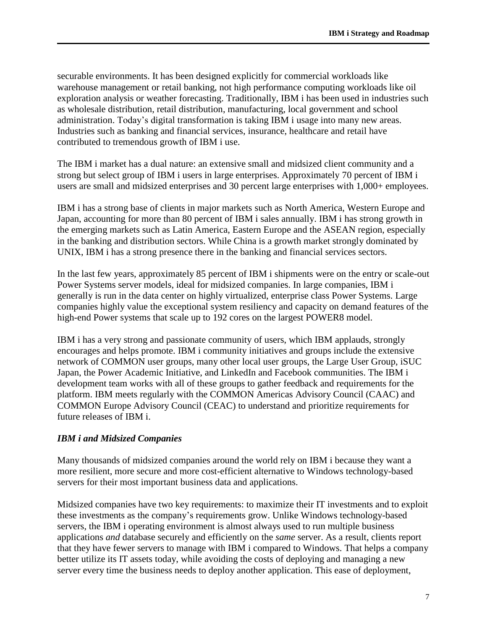securable environments. It has been designed explicitly for commercial workloads like warehouse management or retail banking, not high performance computing workloads like oil exploration analysis or weather forecasting. Traditionally, IBM i has been used in industries such as wholesale distribution, retail distribution, manufacturing, local government and school administration. Today's digital transformation is taking IBM i usage into many new areas. Industries such as banking and financial services, insurance, healthcare and retail have contributed to tremendous growth of IBM i use.

The IBM i market has a dual nature: an extensive small and midsized client community and a strong but select group of IBM i users in large enterprises. Approximately 70 percent of IBM i users are small and midsized enterprises and 30 percent large enterprises with 1,000+ employees.

IBM i has a strong base of clients in major markets such as North America, Western Europe and Japan, accounting for more than 80 percent of IBM i sales annually. IBM i has strong growth in the emerging markets such as Latin America, Eastern Europe and the ASEAN region, especially in the banking and distribution sectors. While China is a growth market strongly dominated by UNIX, IBM i has a strong presence there in the banking and financial services sectors.

In the last few years, approximately 85 percent of IBM i shipments were on the entry or scale-out Power Systems server models, ideal for midsized companies. In large companies, IBM i generally is run in the data center on highly virtualized, enterprise class Power Systems. Large companies highly value the exceptional system resiliency and capacity on demand features of the high-end Power systems that scale up to 192 cores on the largest POWER8 model.

IBM i has a very strong and passionate community of users, which IBM applauds, strongly encourages and helps promote. IBM i community initiatives and groups include the extensive network of COMMON user groups, many other local user groups, the Large User Group, iSUC Japan, the Power Academic Initiative, and LinkedIn and Facebook communities. The IBM i development team works with all of these groups to gather feedback and requirements for the platform. IBM meets regularly with the COMMON Americas Advisory Council (CAAC) and COMMON Europe Advisory Council (CEAC) to understand and prioritize requirements for future releases of IBM i.

#### *IBM i and Midsized Companies*

Many thousands of midsized companies around the world rely on IBM i because they want a more resilient, more secure and more cost-efficient alternative to Windows technology-based servers for their most important business data and applications.

Midsized companies have two key requirements: to maximize their IT investments and to exploit these investments as the company's requirements grow. Unlike Windows technology-based servers, the IBM i operating environment is almost always used to run multiple business applications *and* database securely and efficiently on the *same* server. As a result, clients report that they have fewer servers to manage with IBM i compared to Windows. That helps a company better utilize its IT assets today, while avoiding the costs of deploying and managing a new server every time the business needs to deploy another application. This ease of deployment,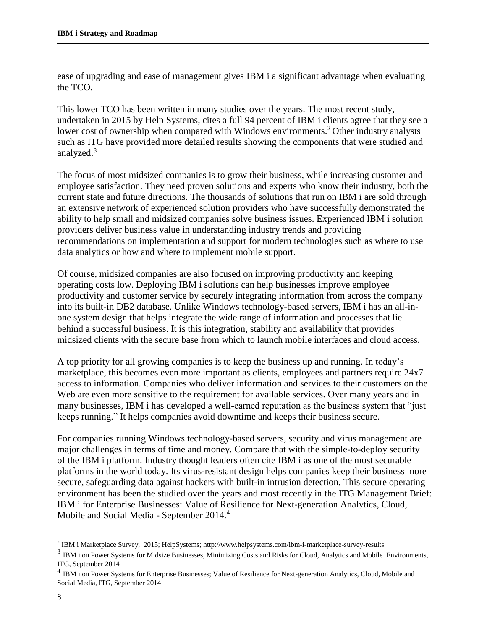ease of upgrading and ease of management gives IBM i a significant advantage when evaluating the TCO.

This lower TCO has been written in many studies over the years. The most recent study, undertaken in 2015 by Help Systems, cites a full 94 percent of IBM i clients agree that they see a lower cost of ownership when compared with Windows environments.<sup>2</sup> Other industry analysts such as ITG have provided more detailed results showing the components that were studied and analyzed.<sup>3</sup>

The focus of most midsized companies is to grow their business, while increasing customer and employee satisfaction. They need proven solutions and experts who know their industry, both the current state and future directions. The thousands of solutions that run on IBM i are sold through an extensive network of experienced solution providers who have successfully demonstrated the ability to help small and midsized companies solve business issues. Experienced IBM i solution providers deliver business value in understanding industry trends and providing recommendations on implementation and support for modern technologies such as where to use data analytics or how and where to implement mobile support.

Of course, midsized companies are also focused on improving productivity and keeping operating costs low. Deploying IBM i solutions can help businesses improve employee productivity and customer service by securely integrating information from across the company into its built-in DB2 database. Unlike Windows technology-based servers, IBM i has an all-inone system design that helps integrate the wide range of information and processes that lie behind a successful business. It is this integration, stability and availability that provides midsized clients with the secure base from which to launch mobile interfaces and cloud access.

A top priority for all growing companies is to keep the business up and running. In today's marketplace, this becomes even more important as clients, employees and partners require 24x7 access to information. Companies who deliver information and services to their customers on the Web are even more sensitive to the requirement for available services. Over many years and in many businesses, IBM i has developed a well-earned reputation as the business system that "just keeps running." It helps companies avoid downtime and keeps their business secure.

For companies running Windows technology-based servers, security and virus management are major challenges in terms of time and money. Compare that with the simple-to-deploy security of the IBM i platform. Industry thought leaders often cite IBM i as one of the most securable platforms in the world today. Its virus-resistant design helps companies keep their business more secure, safeguarding data against hackers with built-in intrusion detection. This secure operating environment has been the studied over the years and most recently in the ITG Management Brief: IBM i for Enterprise Businesses: Value of Resilience for Next-generation Analytics, Cloud, Mobile and Social Media - September 2014.<sup>4</sup>

 $\overline{a}$ 

<sup>2</sup> IBM i Marketplace Survey, 2015; HelpSystems; http://www.helpsystems.com/ibm-i-marketplace-survey-results

<sup>&</sup>lt;sup>3</sup> IBM i on Power Systems for Midsize Businesses, Minimizing Costs and Risks for Cloud, Analytics and Mobile Environments, ITG, September 2014

<sup>&</sup>lt;sup>4</sup> IBM i on Power Systems for Enterprise Businesses; Value of Resilience for Next-generation Analytics, Cloud, Mobile and Social Media, ITG, September 2014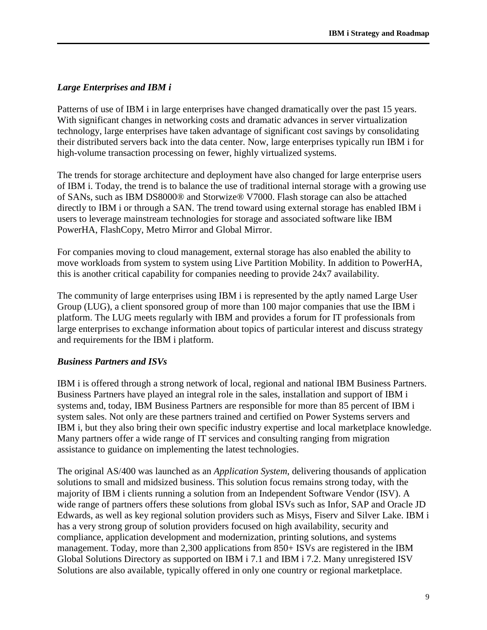## *Large Enterprises and IBM i*

Patterns of use of IBM i in large enterprises have changed dramatically over the past 15 years. With significant changes in networking costs and dramatic advances in server virtualization technology, large enterprises have taken advantage of significant cost savings by consolidating their distributed servers back into the data center. Now, large enterprises typically run IBM i for high-volume transaction processing on fewer, highly virtualized systems.

The trends for storage architecture and deployment have also changed for large enterprise users of IBM i. Today, the trend is to balance the use of traditional internal storage with a growing use of SANs, such as IBM DS8000® and Storwize® V7000. Flash storage can also be attached directly to IBM i or through a SAN. The trend toward using external storage has enabled IBM i users to leverage mainstream technologies for storage and associated software like IBM PowerHA, FlashCopy, Metro Mirror and Global Mirror.

For companies moving to cloud management, external storage has also enabled the ability to move workloads from system to system using Live Partition Mobility. In addition to PowerHA, this is another critical capability for companies needing to provide 24x7 availability.

The community of large enterprises using IBM i is represented by the aptly named Large User Group (LUG), a client sponsored group of more than 100 major companies that use the IBM i platform. The LUG meets regularly with IBM and provides a forum for IT professionals from large enterprises to exchange information about topics of particular interest and discuss strategy and requirements for the IBM i platform.

### *Business Partners and ISVs*

IBM i is offered through a strong network of local, regional and national IBM Business Partners. Business Partners have played an integral role in the sales, installation and support of IBM i systems and, today, IBM Business Partners are responsible for more than 85 percent of IBM i system sales. Not only are these partners trained and certified on Power Systems servers and IBM i, but they also bring their own specific industry expertise and local marketplace knowledge. Many partners offer a wide range of IT services and consulting ranging from migration assistance to guidance on implementing the latest technologies.

The original AS/400 was launched as an *Application System*, delivering thousands of application solutions to small and midsized business. This solution focus remains strong today, with the majority of IBM i clients running a solution from an Independent Software Vendor (ISV). A wide range of partners offers these solutions from global ISVs such as Infor, SAP and Oracle JD Edwards, as well as key regional solution providers such as Misys, Fiserv and Silver Lake. IBM i has a very strong group of solution providers focused on high availability, security and compliance, application development and modernization, printing solutions, and systems management. Today, more than 2,300 applications from 850+ ISVs are registered in the IBM Global Solutions Directory as supported on IBM i 7.1 and IBM i 7.2. Many unregistered ISV Solutions are also available, typically offered in only one country or regional marketplace.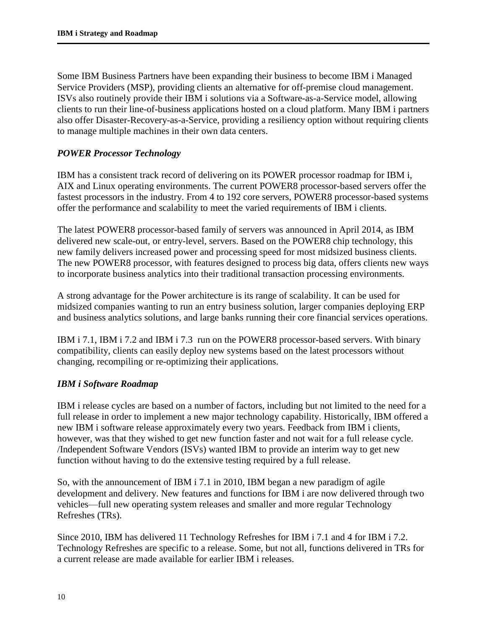Some IBM Business Partners have been expanding their business to become IBM i Managed Service Providers (MSP), providing clients an alternative for off-premise cloud management. ISVs also routinely provide their IBM i solutions via a Software-as-a-Service model, allowing clients to run their line-of-business applications hosted on a cloud platform. Many IBM i partners also offer Disaster-Recovery-as-a-Service, providing a resiliency option without requiring clients to manage multiple machines in their own data centers.

## *POWER Processor Technology*

IBM has a consistent track record of delivering on its POWER processor roadmap for IBM i, AIX and Linux operating environments. The current POWER8 processor-based servers offer the fastest processors in the industry. From 4 to 192 core servers, POWER8 processor-based systems offer the performance and scalability to meet the varied requirements of IBM i clients.

The latest POWER8 processor-based family of servers was announced in April 2014, as IBM delivered new scale-out, or entry-level, servers. Based on the POWER8 chip technology, this new family delivers increased power and processing speed for most midsized business clients. The new POWER8 processor, with features designed to process big data, offers clients new ways to incorporate business analytics into their traditional transaction processing environments.

A strong advantage for the Power architecture is its range of scalability. It can be used for midsized companies wanting to run an entry business solution, larger companies deploying ERP and business analytics solutions, and large banks running their core financial services operations.

IBM i 7.1, IBM i 7.2 and IBM i 7.3 run on the POWER8 processor-based servers. With binary compatibility, clients can easily deploy new systems based on the latest processors without changing, recompiling or re-optimizing their applications.

### *IBM i Software Roadmap*

IBM i release cycles are based on a number of factors, including but not limited to the need for a full release in order to implement a new major technology capability. Historically, IBM offered a new IBM i software release approximately every two years. Feedback from IBM i clients, however, was that they wished to get new function faster and not wait for a full release cycle. /Independent Software Vendors (ISVs) wanted IBM to provide an interim way to get new function without having to do the extensive testing required by a full release.

So, with the announcement of IBM i 7.1 in 2010, IBM began a new paradigm of agile development and delivery. New features and functions for IBM i are now delivered through two vehicles—full new operating system releases and smaller and more regular Technology Refreshes (TRs).

Since 2010, IBM has delivered 11 Technology Refreshes for IBM i 7.1 and 4 for IBM i 7.2. Technology Refreshes are specific to a release. Some, but not all, functions delivered in TRs for a current release are made available for earlier IBM i releases.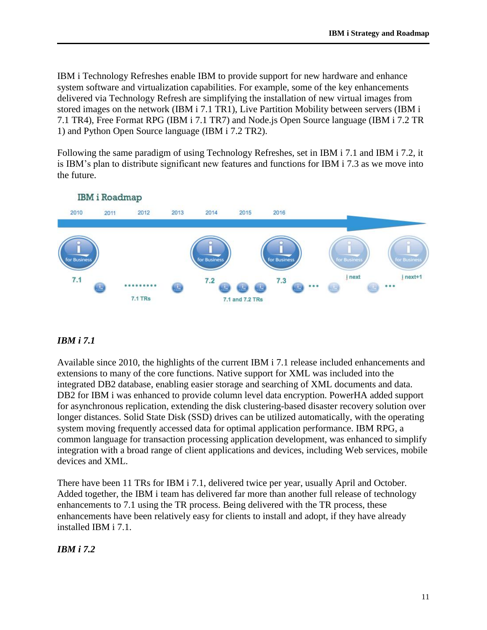IBM i Technology Refreshes enable IBM to provide support for new hardware and enhance system software and virtualization capabilities. For example, some of the key enhancements delivered via Technology Refresh are simplifying the installation of new virtual images from stored images on the network (IBM i 7.1 TR1), Live Partition Mobility between servers (IBM i 7.1 TR4), Free Format RPG (IBM i 7.1 TR7) and Node.js Open Source language (IBM i 7.2 TR 1) and Python Open Source language (IBM i 7.2 TR2).

Following the same paradigm of using Technology Refreshes, set in IBM i 7.1 and IBM i 7.2, it is IBM's plan to distribute significant new features and functions for IBM i 7.3 as we move into the future.



## **IBM** i Roadmap

# *IBM i 7.1*

Available since 2010, the highlights of the current IBM i 7.1 release included enhancements and extensions to many of the core functions. Native support for XML was included into the integrated DB2 database, enabling easier storage and searching of XML documents and data. DB2 for IBM i was enhanced to provide column level data encryption. PowerHA added support for asynchronous replication, extending the disk clustering-based disaster recovery solution over longer distances. Solid State Disk (SSD) drives can be utilized automatically, with the operating system moving frequently accessed data for optimal application performance. IBM RPG, a common language for transaction processing application development, was enhanced to simplify integration with a broad range of client applications and devices, including Web services, mobile devices and XML.

There have been 11 TRs for IBM i 7.1, delivered twice per year, usually April and October. Added together, the IBM i team has delivered far more than another full release of technology enhancements to 7.1 using the TR process. Being delivered with the TR process, these enhancements have been relatively easy for clients to install and adopt, if they have already installed IBM i 7.1.

### *IBM i 7.2*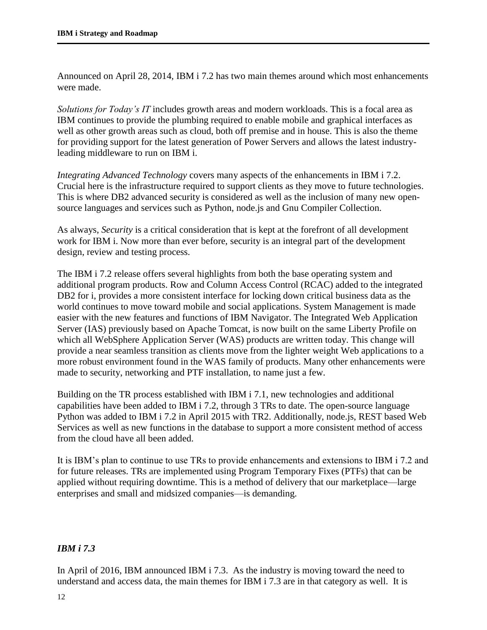Announced on April 28, 2014, IBM i 7.2 has two main themes around which most enhancements were made.

*Solutions for Today's IT* includes growth areas and modern workloads. This is a focal area as IBM continues to provide the plumbing required to enable mobile and graphical interfaces as well as other growth areas such as cloud, both off premise and in house. This is also the theme for providing support for the latest generation of Power Servers and allows the latest industryleading middleware to run on IBM i.

*Integrating Advanced Technology* covers many aspects of the enhancements in IBM i 7.2. Crucial here is the infrastructure required to support clients as they move to future technologies. This is where DB2 advanced security is considered as well as the inclusion of many new opensource languages and services such as Python, node.js and Gnu Compiler Collection.

As always, *Security* is a critical consideration that is kept at the forefront of all development work for IBM i. Now more than ever before, security is an integral part of the development design, review and testing process.

The IBM i 7.2 release offers several highlights from both the base operating system and additional program products. Row and Column Access Control (RCAC) added to the integrated DB2 for i, provides a more consistent interface for locking down critical business data as the world continues to move toward mobile and social applications. System Management is made easier with the new features and functions of IBM Navigator. The Integrated Web Application Server (IAS) previously based on Apache Tomcat, is now built on the same Liberty Profile on which all WebSphere Application Server (WAS) products are written today. This change will provide a near seamless transition as clients move from the lighter weight Web applications to a more robust environment found in the WAS family of products. Many other enhancements were made to security, networking and PTF installation, to name just a few.

Building on the TR process established with IBM i 7.1, new technologies and additional capabilities have been added to IBM i 7.2, through 3 TRs to date. The open-source language Python was added to IBM i 7.2 in April 2015 with TR2. Additionally, node.js, REST based Web Services as well as new functions in the database to support a more consistent method of access from the cloud have all been added.

It is IBM's plan to continue to use TRs to provide enhancements and extensions to IBM i 7.2 and for future releases. TRs are implemented using Program Temporary Fixes (PTFs) that can be applied without requiring downtime. This is a method of delivery that our marketplace—large enterprises and small and midsized companies—is demanding.

### *IBM i 7.3*

In April of 2016, IBM announced IBM i 7.3. As the industry is moving toward the need to understand and access data, the main themes for IBM i 7.3 are in that category as well. It is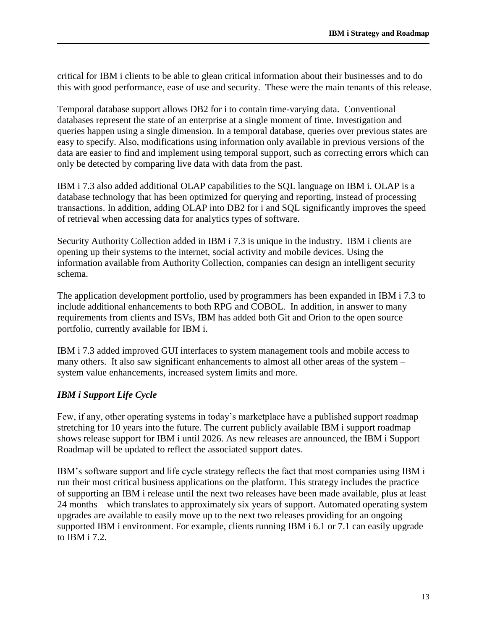critical for IBM i clients to be able to glean critical information about their businesses and to do this with good performance, ease of use and security. These were the main tenants of this release.

Temporal database support allows DB2 for i to contain time-varying data. Conventional databases represent the state of an enterprise at a single moment of time. Investigation and queries happen using a single dimension. In a temporal database, queries over previous states are easy to specify. Also, modifications using information only available in previous versions of the data are easier to find and implement using temporal support, such as correcting errors which can only be detected by comparing live data with data from the past.

IBM i 7.3 also added additional OLAP capabilities to the SQL language on IBM i. OLAP is a database technology that has been optimized for querying and reporting, instead of processing transactions. In addition, adding OLAP into DB2 for i and SQL significantly improves the speed of retrieval when accessing data for analytics types of software.

Security Authority Collection added in IBM i 7.3 is unique in the industry. IBM i clients are opening up their systems to the internet, social activity and mobile devices. Using the information available from Authority Collection, companies can design an intelligent security schema.

The application development portfolio, used by programmers has been expanded in IBM i 7.3 to include additional enhancements to both RPG and COBOL. In addition, in answer to many requirements from clients and ISVs, IBM has added both Git and Orion to the open source portfolio, currently available for IBM i.

IBM i 7.3 added improved GUI interfaces to system management tools and mobile access to many others. It also saw significant enhancements to almost all other areas of the system – system value enhancements, increased system limits and more.

### *IBM i Support Life Cycle*

Few, if any, other operating systems in today's marketplace have a published support roadmap stretching for 10 years into the future. The current publicly available IBM i support roadmap shows release support for IBM i until 2026. As new releases are announced, the IBM i Support Roadmap will be updated to reflect the associated support dates.

IBM's software support and life cycle strategy reflects the fact that most companies using IBM i run their most critical business applications on the platform. This strategy includes the practice of supporting an IBM i release until the next two releases have been made available, plus at least 24 months—which translates to approximately six years of support. Automated operating system upgrades are available to easily move up to the next two releases providing for an ongoing supported IBM i environment. For example, clients running IBM i 6.1 or 7.1 can easily upgrade to IBM i 7.2.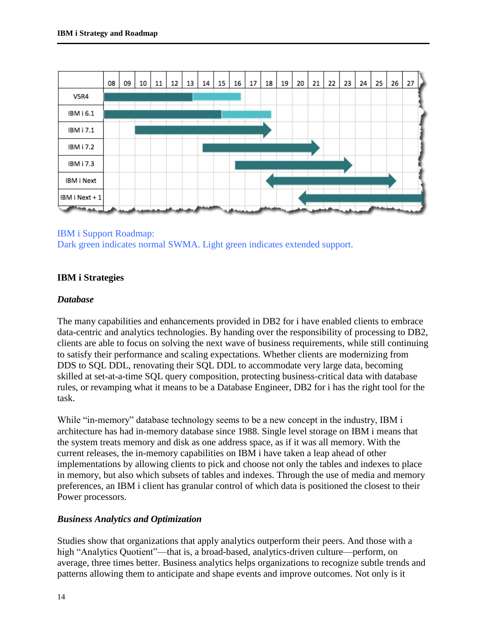

### IBM i Support Roadmap:

Dark green indicates normal SWMA. Light green indicates extended support.

### **IBM i Strategies**

#### *Database*

The many capabilities and enhancements provided in DB2 for i have enabled clients to embrace data-centric and analytics technologies. By handing over the responsibility of processing to DB2, clients are able to focus on solving the next wave of business requirements, while still continuing to satisfy their performance and scaling expectations. Whether clients are modernizing from DDS to SQL DDL, renovating their SQL DDL to accommodate very large data, becoming skilled at set-at-a-time SQL query composition, protecting business-critical data with database rules, or revamping what it means to be a Database Engineer, DB2 for i has the right tool for the task.

While "in-memory" database technology seems to be a new concept in the industry, IBM i architecture has had in-memory database since 1988. Single level storage on IBM i means that the system treats memory and disk as one address space, as if it was all memory. With the current releases, the in-memory capabilities on IBM i have taken a leap ahead of other implementations by allowing clients to pick and choose not only the tables and indexes to place in memory, but also which subsets of tables and indexes. Through the use of media and memory preferences, an IBM i client has granular control of which data is positioned the closest to their Power processors.

#### *Business Analytics and Optimization*

Studies show that organizations that apply analytics outperform their peers. And those with a high "Analytics Quotient"—that is, a broad-based, analytics-driven culture—perform, on average, three times better. Business analytics helps organizations to recognize subtle trends and patterns allowing them to anticipate and shape events and improve outcomes. Not only is it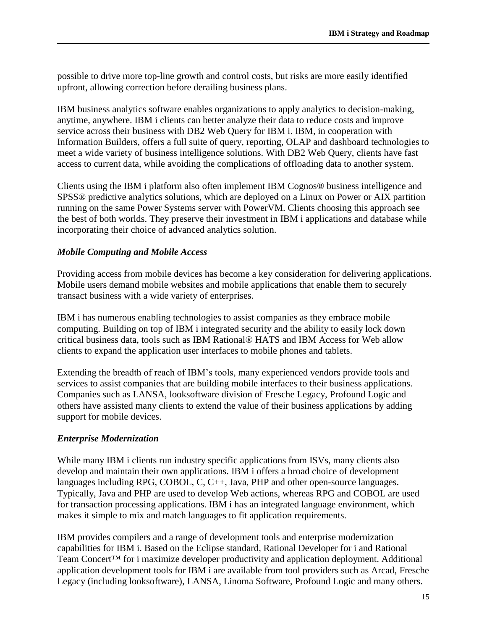possible to drive more top-line growth and control costs, but risks are more easily identified upfront, allowing correction before derailing business plans.

IBM business analytics software enables organizations to apply analytics to decision-making, anytime, anywhere. IBM i clients can better analyze their data to reduce costs and improve service across their business with DB2 Web Query for IBM i. IBM, in cooperation with Information Builders, offers a full suite of query, reporting, OLAP and dashboard technologies to meet a wide variety of business intelligence solutions. With DB2 Web Query, clients have fast access to current data, while avoiding the complications of offloading data to another system.

Clients using the IBM i platform also often implement IBM Cognos® business intelligence and SPSS® predictive analytics solutions, which are deployed on a Linux on Power or AIX partition running on the same Power Systems server with PowerVM. Clients choosing this approach see the best of both worlds. They preserve their investment in IBM i applications and database while incorporating their choice of advanced analytics solution.

#### *Mobile Computing and Mobile Access*

Providing access from mobile devices has become a key consideration for delivering applications. Mobile users demand mobile websites and mobile applications that enable them to securely transact business with a wide variety of enterprises.

IBM i has numerous enabling technologies to assist companies as they embrace mobile computing. Building on top of IBM i integrated security and the ability to easily lock down critical business data, tools such as IBM Rational® HATS and IBM Access for Web allow clients to expand the application user interfaces to mobile phones and tablets.

Extending the breadth of reach of IBM's tools, many experienced vendors provide tools and services to assist companies that are building mobile interfaces to their business applications. Companies such as LANSA, looksoftware division of Fresche Legacy, Profound Logic and others have assisted many clients to extend the value of their business applications by adding support for mobile devices.

#### *Enterprise Modernization*

While many IBM i clients run industry specific applications from ISVs, many clients also develop and maintain their own applications. IBM i offers a broad choice of development languages including RPG, COBOL, C, C++, Java, PHP and other open-source languages. Typically, Java and PHP are used to develop Web actions, whereas RPG and COBOL are used for transaction processing applications. IBM i has an integrated language environment, which makes it simple to mix and match languages to fit application requirements.

IBM provides compilers and a range of development tools and enterprise modernization capabilities for IBM i. Based on the Eclipse standard, Rational Developer for i and Rational Team Concert™ for i maximize developer productivity and application deployment. Additional application development tools for IBM i are available from tool providers such as Arcad, Fresche Legacy (including looksoftware), LANSA, Linoma Software, Profound Logic and many others.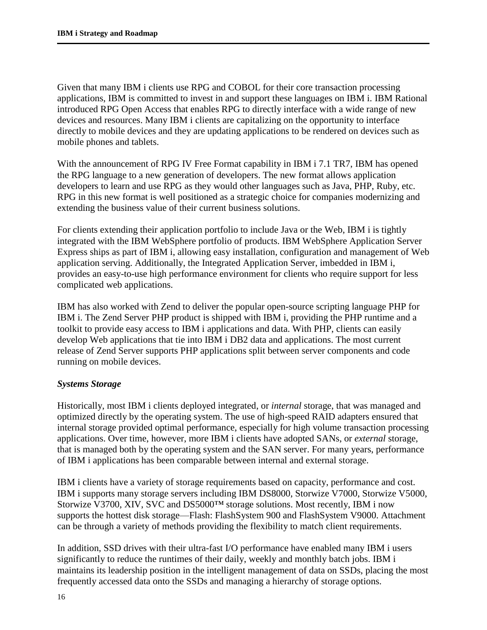Given that many IBM i clients use RPG and COBOL for their core transaction processing applications, IBM is committed to invest in and support these languages on IBM i. IBM Rational introduced RPG Open Access that enables RPG to directly interface with a wide range of new devices and resources. Many IBM i clients are capitalizing on the opportunity to interface directly to mobile devices and they are updating applications to be rendered on devices such as mobile phones and tablets.

With the announcement of RPG IV Free Format capability in IBM i 7.1 TR7, IBM has opened the RPG language to a new generation of developers. The new format allows application developers to learn and use RPG as they would other languages such as Java, PHP, Ruby, etc. RPG in this new format is well positioned as a strategic choice for companies modernizing and extending the business value of their current business solutions.

For clients extending their application portfolio to include Java or the Web, IBM i is tightly integrated with the IBM WebSphere portfolio of products. IBM WebSphere Application Server Express ships as part of IBM i, allowing easy installation, configuration and management of Web application serving. Additionally, the Integrated Application Server, imbedded in IBM i, provides an easy-to-use high performance environment for clients who require support for less complicated web applications.

IBM has also worked with Zend to deliver the popular open-source scripting language PHP for IBM i. The Zend Server PHP product is shipped with IBM i, providing the PHP runtime and a toolkit to provide easy access to IBM i applications and data. With PHP, clients can easily develop Web applications that tie into IBM i DB2 data and applications. The most current release of Zend Server supports PHP applications split between server components and code running on mobile devices.

### *Systems Storage*

Historically, most IBM i clients deployed integrated, or *internal* storage, that was managed and optimized directly by the operating system. The use of high-speed RAID adapters ensured that internal storage provided optimal performance, especially for high volume transaction processing applications. Over time, however, more IBM i clients have adopted SANs, or *external* storage, that is managed both by the operating system and the SAN server. For many years, performance of IBM i applications has been comparable between internal and external storage.

IBM i clients have a variety of storage requirements based on capacity, performance and cost. IBM i supports many storage servers including IBM DS8000, Storwize V7000, Storwize V5000, Storwize V3700, XIV, SVC and DS5000™ storage solutions. Most recently, IBM i now supports the hottest disk storage—Flash: FlashSystem 900 and FlashSystem V9000. Attachment can be through a variety of methods providing the flexibility to match client requirements.

In addition, SSD drives with their ultra-fast I/O performance have enabled many IBM i users significantly to reduce the runtimes of their daily, weekly and monthly batch jobs. IBM i maintains its leadership position in the intelligent management of data on SSDs, placing the most frequently accessed data onto the SSDs and managing a hierarchy of storage options.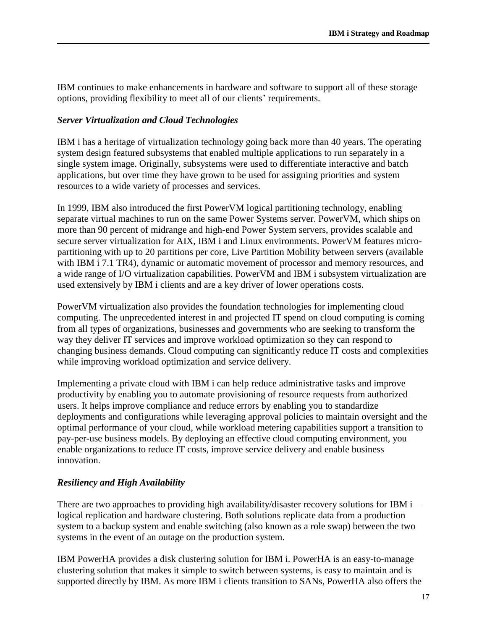IBM continues to make enhancements in hardware and software to support all of these storage options, providing flexibility to meet all of our clients' requirements.

#### *Server Virtualization and Cloud Technologies*

IBM i has a heritage of virtualization technology going back more than 40 years. The operating system design featured subsystems that enabled multiple applications to run separately in a single system image. Originally, subsystems were used to differentiate interactive and batch applications, but over time they have grown to be used for assigning priorities and system resources to a wide variety of processes and services.

In 1999, IBM also introduced the first PowerVM logical partitioning technology, enabling separate virtual machines to run on the same Power Systems server. PowerVM, which ships on more than 90 percent of midrange and high-end Power System servers, provides scalable and secure server virtualization for AIX, IBM i and Linux environments. PowerVM features micropartitioning with up to 20 partitions per core, Live Partition Mobility between servers (available with IBM i 7.1 TR4), dynamic or automatic movement of processor and memory resources, and a wide range of I/O virtualization capabilities. PowerVM and IBM i subsystem virtualization are used extensively by IBM i clients and are a key driver of lower operations costs.

PowerVM virtualization also provides the foundation technologies for implementing cloud computing. The unprecedented interest in and projected IT spend on cloud computing is coming from all types of organizations, businesses and governments who are seeking to transform the way they deliver IT services and improve workload optimization so they can respond to changing business demands. Cloud computing can significantly reduce IT costs and complexities while improving workload optimization and service delivery.

Implementing a private cloud with IBM i can help reduce administrative tasks and improve productivity by enabling you to automate provisioning of resource requests from authorized users. It helps improve compliance and reduce errors by enabling you to standardize deployments and configurations while leveraging approval policies to maintain oversight and the optimal performance of your cloud, while workload metering capabilities support a transition to pay-per-use business models. By deploying an effective cloud computing environment, you enable organizations to reduce IT costs, improve service delivery and enable business innovation.

### *Resiliency and High Availability*

There are two approaches to providing high availability/disaster recovery solutions for IBM i logical replication and hardware clustering. Both solutions replicate data from a production system to a backup system and enable switching (also known as a role swap) between the two systems in the event of an outage on the production system.

IBM PowerHA provides a disk clustering solution for IBM i. PowerHA is an easy-to-manage clustering solution that makes it simple to switch between systems, is easy to maintain and is supported directly by IBM. As more IBM i clients transition to SANs, PowerHA also offers the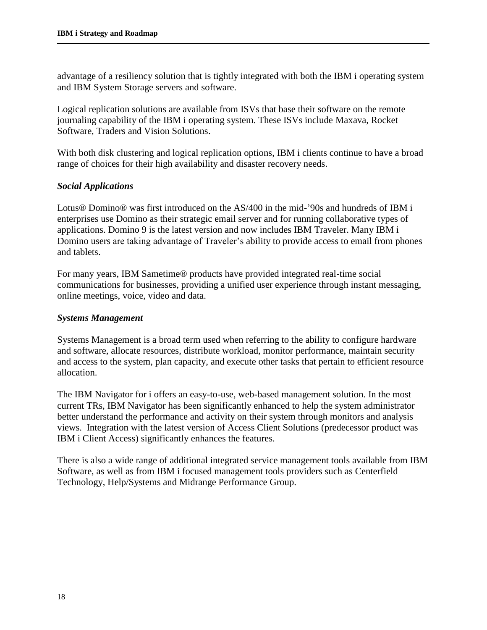advantage of a resiliency solution that is tightly integrated with both the IBM i operating system and IBM System Storage servers and software.

Logical replication solutions are available from ISVs that base their software on the remote journaling capability of the IBM i operating system. These ISVs include Maxava, Rocket Software, Traders and Vision Solutions.

With both disk clustering and logical replication options, IBM i clients continue to have a broad range of choices for their high availability and disaster recovery needs.

### *Social Applications*

Lotus® Domino® was first introduced on the AS/400 in the mid-'90s and hundreds of IBM i enterprises use Domino as their strategic email server and for running collaborative types of applications. Domino 9 is the latest version and now includes IBM Traveler. Many IBM i Domino users are taking advantage of Traveler's ability to provide access to email from phones and tablets.

For many years, IBM Sametime® products have provided integrated real-time social communications for businesses, providing a unified user experience through instant messaging, online meetings, voice, video and data.

#### *Systems Management*

Systems Management is a broad term used when referring to the ability to configure hardware and software, allocate resources, distribute workload, monitor performance, maintain security and access to the system, plan capacity, and execute other tasks that pertain to efficient resource allocation.

The IBM Navigator for i offers an easy-to-use, web-based management solution. In the most current TRs, IBM Navigator has been significantly enhanced to help the system administrator better understand the performance and activity on their system through monitors and analysis views. Integration with the latest version of Access Client Solutions (predecessor product was IBM i Client Access) significantly enhances the features.

There is also a wide range of additional integrated service management tools available from IBM Software, as well as from IBM i focused management tools providers such as Centerfield Technology, Help/Systems and Midrange Performance Group.